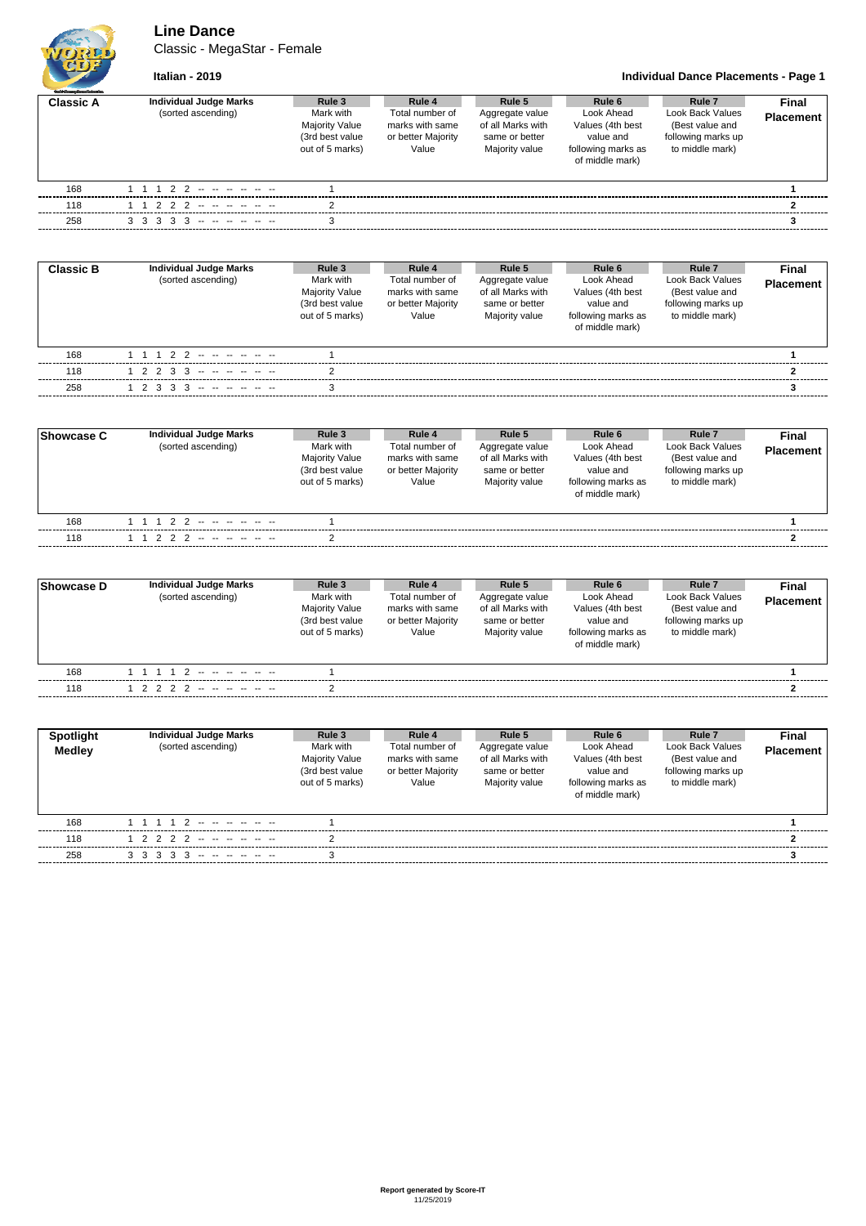## **Line Dance**

Classic - MegaStar - Female



## **Italian - 2019 Individual Dance Placements - Page 1**

| <b>Guld Grades Dansa Polymeira</b> |                                                     |                                                                                                       |                                                          |                                                                                    |                                                                                                |                                                                                        |                           |
|------------------------------------|-----------------------------------------------------|-------------------------------------------------------------------------------------------------------|----------------------------------------------------------|------------------------------------------------------------------------------------|------------------------------------------------------------------------------------------------|----------------------------------------------------------------------------------------|---------------------------|
| <b>Classic A</b>                   | <b>Individual Judge Marks</b><br>(sorted ascending) | Rule 3<br>Rule 4<br>Mark with<br><b>Majority Value</b><br>(3rd best value<br>out of 5 marks)<br>Value | Total number of<br>marks with same<br>or better Majority | Rule 5<br>Aggregate value<br>of all Marks with<br>same or better<br>Majority value | Rule 6<br>Look Ahead<br>Values (4th best<br>value and<br>following marks as<br>of middle mark) | Rule 7<br>Look Back Values<br>(Best value and<br>following marks up<br>to middle mark) | Final<br><b>Placement</b> |
| 168                                | 1 1 1 2 2 -- -- -- -- --                            |                                                                                                       |                                                          |                                                                                    |                                                                                                |                                                                                        |                           |
| 118                                | 1 1 2 2 2 -- -- -- -- --                            | C                                                                                                     |                                                          |                                                                                    |                                                                                                |                                                                                        |                           |
| 258                                | $3$ $3$ $3$ $3$ $3$ $3$ $      -$                   |                                                                                                       |                                                          |                                                                                    |                                                                                                |                                                                                        |                           |

| <b>Classic B</b> | <b>Individual Judge Marks</b><br>(sorted ascending) | Rule 3<br>Mark with<br><b>Majority Value</b><br>(3rd best value<br>out of 5 marks) | Rule 4<br>Total number of<br>marks with same<br>or better Majority<br>Value | Rule 5<br>Aggregate value<br>of all Marks with<br>same or better<br>Majority value | Rule 6<br>Look Ahead<br>Values (4th best<br>value and<br>following marks as<br>of middle mark) | Rule <sub>7</sub><br>Look Back Values<br>(Best value and<br>following marks up<br>to middle mark) | Final<br><b>Placement</b> |  |
|------------------|-----------------------------------------------------|------------------------------------------------------------------------------------|-----------------------------------------------------------------------------|------------------------------------------------------------------------------------|------------------------------------------------------------------------------------------------|---------------------------------------------------------------------------------------------------|---------------------------|--|
| 168              | 1 1 1 2 2 -- -- -- -- --                            |                                                                                    |                                                                             |                                                                                    |                                                                                                |                                                                                                   |                           |  |
| 118              | $1 2 2 3 3 - - - - - - -$                           |                                                                                    |                                                                             |                                                                                    |                                                                                                |                                                                                                   |                           |  |
| 258              | $1$ 2 3 3 3 -- -- -- -- --                          |                                                                                    |                                                                             |                                                                                    |                                                                                                |                                                                                                   |                           |  |

| Showcase C | <b>Individual Judge Marks</b><br>(sorted ascending) | Rule 3<br>Mark with<br><b>Majority Value</b><br>(3rd best value<br>out of 5 marks) | Rule 4<br>Total number of<br>marks with same<br>or better Majority<br>Value | Rule 5<br>Aggregate value<br>of all Marks with<br>same or better<br>Majority value | Rule 6<br>Look Ahead<br>Values (4th best<br>value and<br>following marks as<br>of middle mark) | Rule <sub>7</sub><br>Look Back Values<br>(Best value and<br>following marks up<br>to middle mark) | <b>Final</b><br><b>Placement</b> |
|------------|-----------------------------------------------------|------------------------------------------------------------------------------------|-----------------------------------------------------------------------------|------------------------------------------------------------------------------------|------------------------------------------------------------------------------------------------|---------------------------------------------------------------------------------------------------|----------------------------------|
| 168        | 1 1 1 2 2 -- -- -- -- --                            |                                                                                    |                                                                             |                                                                                    |                                                                                                |                                                                                                   |                                  |
| 118        | 1 1 2 2 2 -- -- -- -- --                            |                                                                                    |                                                                             |                                                                                    |                                                                                                |                                                                                                   |                                  |

| <b>Showcase D</b> | Individual Judge Marks<br>(sorted ascending) | Rule 3<br>Mark with<br>Majority Value<br>(3rd best value<br>out of 5 marks) | Rule 4<br>Total number of<br>marks with same<br>or better Majority<br>Value | Rule 5<br>Aggregate value<br>of all Marks with<br>same or better<br>Majority value | Rule 6<br>Look Ahead<br>Values (4th best<br>value and<br>following marks as<br>of middle mark) | Rule 7<br>Look Back Values<br>(Best value and<br>following marks up<br>to middle mark) | Final<br><b>Placement</b> |
|-------------------|----------------------------------------------|-----------------------------------------------------------------------------|-----------------------------------------------------------------------------|------------------------------------------------------------------------------------|------------------------------------------------------------------------------------------------|----------------------------------------------------------------------------------------|---------------------------|
| 168               | the company of the company                   |                                                                             |                                                                             |                                                                                    |                                                                                                |                                                                                        |                           |
| 118               | 1 2 2 2 2 -- -- -- -- --                     |                                                                             |                                                                             |                                                                                    |                                                                                                |                                                                                        |                           |

| Spotlight<br><b>Medley</b> | <b>Individual Judge Marks</b><br>(sorted ascending) | Rule 3<br>Mark with<br><b>Majority Value</b><br>(3rd best value<br>out of 5 marks) | Rule 4<br>Total number of<br>marks with same<br>or better Majority<br>Value | Rule 5<br>Aggregate value<br>of all Marks with<br>same or better<br>Majority value | Rule 6<br>Look Ahead<br>Values (4th best<br>value and<br>following marks as<br>of middle mark) | Rule <sub>7</sub><br>Look Back Values<br>(Best value and<br>following marks up<br>to middle mark) | Final<br><b>Placement</b> |
|----------------------------|-----------------------------------------------------|------------------------------------------------------------------------------------|-----------------------------------------------------------------------------|------------------------------------------------------------------------------------|------------------------------------------------------------------------------------------------|---------------------------------------------------------------------------------------------------|---------------------------|
| 168                        | 1 1 1 1 2<br>الموارد المواردة المواردة              |                                                                                    |                                                                             |                                                                                    |                                                                                                |                                                                                                   |                           |
| 118                        | 1 2 2 2 2 -- -- -- -- --                            |                                                                                    |                                                                             |                                                                                    |                                                                                                |                                                                                                   |                           |
| 258                        |                                                     |                                                                                    |                                                                             |                                                                                    |                                                                                                |                                                                                                   |                           |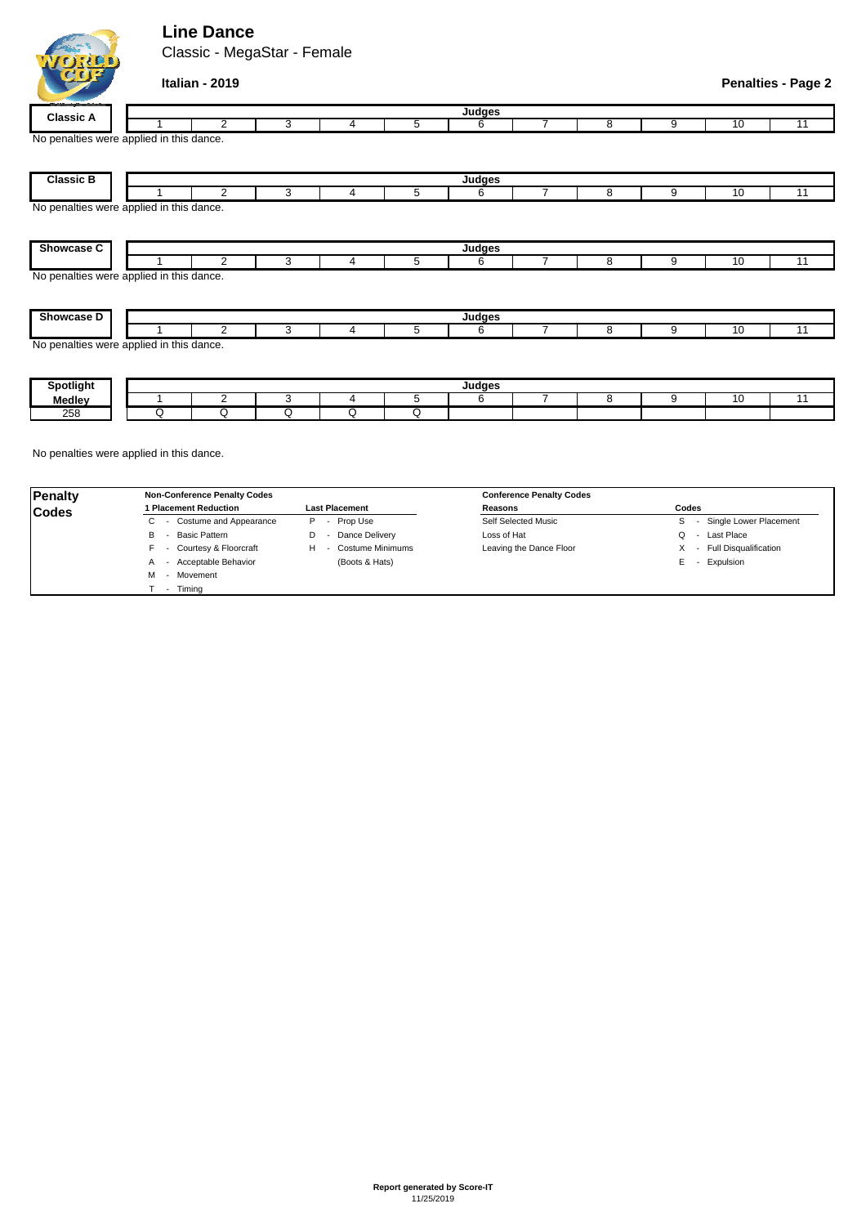## **Line Dance**

QQQQQQQQ



| <b>Classic B</b>                         |   |   |   |   | Judges |   |   |    |    |
|------------------------------------------|---|---|---|---|--------|---|---|----|----|
|                                          | 2 | 3 | 4 | 5 | 6      | 8 | 9 | 10 | 11 |
| No penalties were applied in this dance. |   |   |   |   |        |   |   |    |    |
|                                          |   |   |   |   |        |   |   |    |    |
|                                          |   |   |   |   |        |   |   |    |    |
| <b>Showcase C</b>                        |   |   |   |   | Judges |   |   |    |    |
|                                          | 2 | 3 | 4 | 5 | 6      | 8 | 9 | 10 | 11 |
| No penalties were applied in this dance. |   |   |   |   |        |   |   |    |    |
|                                          |   |   |   |   |        |   |   |    |    |
|                                          |   |   |   |   |        |   |   |    |    |
| Showcase D                               |   |   |   |   | Judges |   |   |    |    |
|                                          | 2 | 3 | 4 | 5 | 6      | 8 | 9 | 10 | 11 |
| No penalties were applied in this dance. |   |   |   |   |        |   |   |    |    |
|                                          |   |   |   |   |        |   |   |    |    |
|                                          |   |   |   |   |        |   |   |    |    |
| <b>Spotlight</b>                         |   |   |   |   | Judges |   |   |    |    |
| <b>Medley</b>                            | ⌒ |   | 4 | 5 | 6      | 8 | 9 | 10 | 11 |

**Judges**

No penalties were applied in this dance.

258

| Penalty      | <b>Non-Conference Penalty Codes</b> |                                                 | <b>Conference Penalty Codes</b> |                           |  |  |  |  |
|--------------|-------------------------------------|-------------------------------------------------|---------------------------------|---------------------------|--|--|--|--|
| <b>Codes</b> | 1 Placement Reduction               | <b>Last Placement</b>                           | Reasons                         | Codes                     |  |  |  |  |
|              | - Costume and Appearance<br>◡       | - Prop Use<br>P                                 | Self Selected Music             | Single Lower Placement    |  |  |  |  |
|              | Basic Pattern<br>В                  | Dance Delivery<br>D<br>$\overline{\phantom{a}}$ | Loss of Hat                     | - Last Place              |  |  |  |  |
|              | - Courtesy & Floorcraft             | <b>Costume Minimums</b><br>н                    | Leaving the Dance Floor         | X - Full Disqualification |  |  |  |  |
|              | - Acceptable Behavior<br>A          | (Boots & Hats)                                  |                                 | - Expulsion<br>ь.         |  |  |  |  |
|              | - Movement<br>м                     |                                                 |                                 |                           |  |  |  |  |
|              | Timina                              |                                                 |                                 |                           |  |  |  |  |